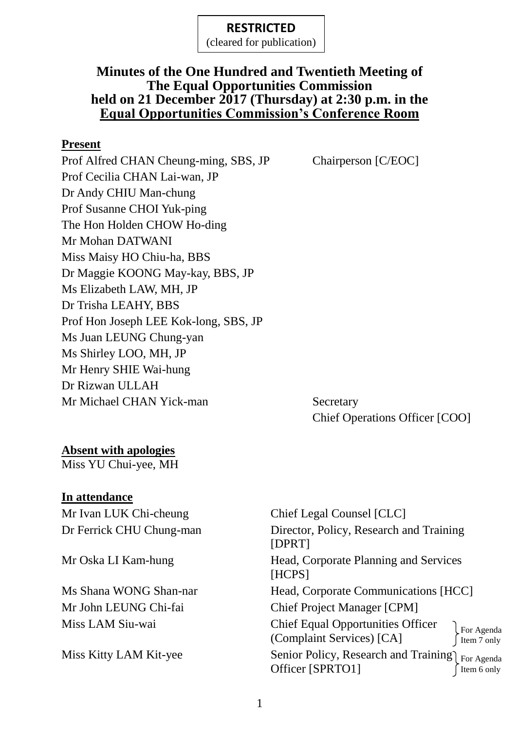(cleared for publication)

## **Minutes of the One Hundred and Twentieth Meeting of The Equal Opportunities Commission held on 21 December 2017 (Thursday) at 2:30 p.m. in the Equal Opportunities Commission's Conference Room**

#### **Present**

Prof Alfred CHAN Cheung-ming, SBS, JP Chairperson [C/EOC] Prof Cecilia CHAN Lai-wan, JP Dr Andy CHIU Man-chung Prof Susanne CHOI Yuk-ping The Hon Holden CHOW Ho-ding Mr Mohan DATWANI Miss Maisy HO Chiu-ha, BBS Dr Maggie KOONG May-kay, BBS, JP Ms Elizabeth LAW, MH, JP Dr Trisha LEAHY, BBS Prof Hon Joseph LEE Kok-long, SBS, JP Ms Juan LEUNG Chung-yan Ms Shirley LOO, MH, JP Mr Henry SHIE Wai-hung Dr Rizwan ULLAH Mr Michael CHAN Yick-man Secretary

Chief Operations Officer [COO]

## **Absent with apologies**

Miss YU Chui-yee, MH

### **In attendance**

Mr Ivan LUK Chi-cheung Chief Legal Counsel [CLC]

Dr Ferrick CHU Chung-man Director, Policy, Research and Training [DPRT] Mr Oska LI Kam-hung Head, Corporate Planning and Services [HCPS] Ms Shana WONG Shan-nar Head, Corporate Communications [HCC] Mr John LEUNG Chi-fai Chief Project Manager [CPM] Miss LAM Siu-wai Chief Equal Opportunities Officer (Complaint Services) [CA] Miss Kitty LAM Kit-yee Senior Policy, Research and Training For Agenda Officer [SPRTO1] For Agenda Item 7 only Item 6 only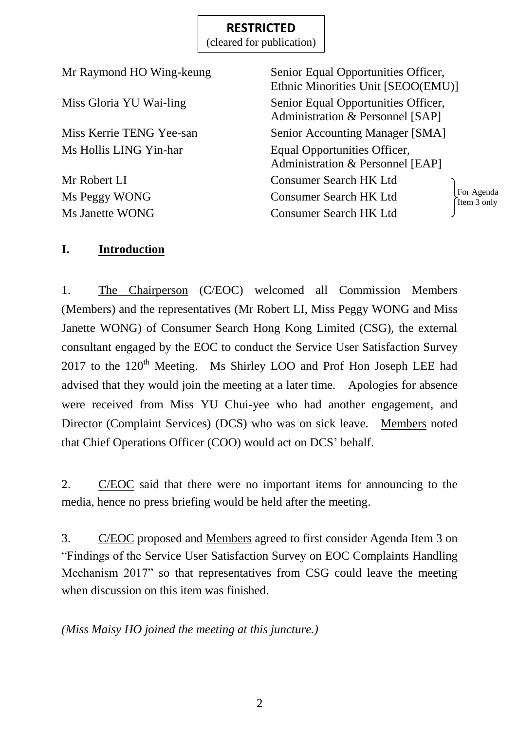(cleared for publication)

| Mr Raymond HO Wing-keung | Senior Equal Opportunities Officer,<br>Ethnic Minorities Unit [SEOO(EMU)] |
|--------------------------|---------------------------------------------------------------------------|
| Miss Gloria YU Wai-ling  | Senior Equal Opportunities Officer,<br>Administration & Personnel [SAP]   |
| Miss Kerrie TENG Yee-san | <b>Senior Accounting Manager [SMA]</b>                                    |
| Ms Hollis LING Yin-har   | Equal Opportunities Officer,<br>Administration & Personnel [EAP]          |
| Mr Robert LI             | <b>Consumer Search HK Ltd</b>                                             |
| Ms Peggy WONG            | For Agenda<br><b>Consumer Search HK Ltd</b><br>Item 3 only                |
| <b>Ms Janette WONG</b>   | <b>Consumer Search HK Ltd</b>                                             |

## **I. Introduction**

1. The Chairperson (C/EOC) welcomed all Commission Members (Members) and the representatives (Mr Robert LI, Miss Peggy WONG and Miss Janette WONG) of Consumer Search Hong Kong Limited (CSG), the external consultant engaged by the EOC to conduct the Service User Satisfaction Survey 2017 to the 120<sup>th</sup> Meeting. Ms Shirley LOO and Prof Hon Joseph LEE had advised that they would join the meeting at a later time. Apologies for absence were received from Miss YU Chui-yee who had another engagement, and Director (Complaint Services) (DCS) who was on sick leave. Members noted that Chief Operations Officer (COO) would act on DCS' behalf.

2. C/EOC said that there were no important items for announcing to the media, hence no press briefing would be held after the meeting.

3. C/EOC proposed and Members agreed to first consider Agenda Item 3 on "Findings of the Service User Satisfaction Survey on EOC Complaints Handling Mechanism 2017" so that representatives from CSG could leave the meeting when discussion on this item was finished.

*(Miss Maisy HO joined the meeting at this juncture.)*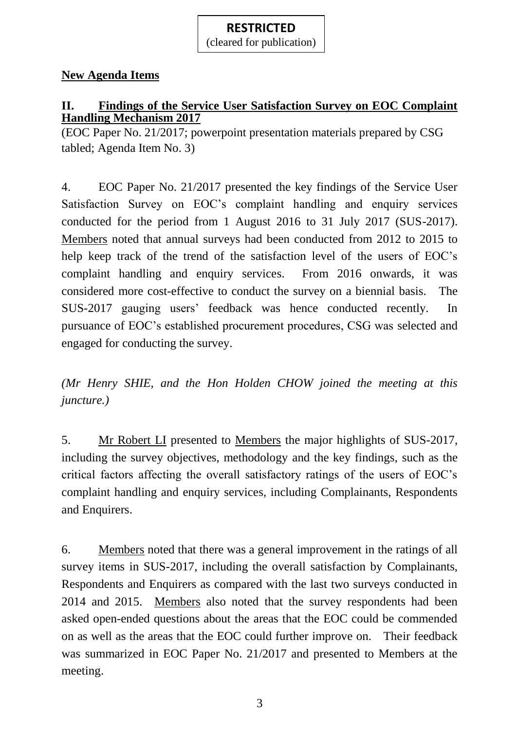(cleared for publication)

# **New Agenda Items**

# **II. Findings of the Service User Satisfaction Survey on EOC Complaint Handling Mechanism 2017**

(EOC Paper No. 21/2017; powerpoint presentation materials prepared by CSG tabled; Agenda Item No. 3)

4. EOC Paper No. 21/2017 presented the key findings of the Service User Satisfaction Survey on EOC's complaint handling and enquiry services conducted for the period from 1 August 2016 to 31 July 2017 (SUS-2017). Members noted that annual surveys had been conducted from 2012 to 2015 to help keep track of the trend of the satisfaction level of the users of EOC's complaint handling and enquiry services. From 2016 onwards, it was considered more cost-effective to conduct the survey on a biennial basis. The SUS-2017 gauging users' feedback was hence conducted recently. In pursuance of EOC's established procurement procedures, CSG was selected and engaged for conducting the survey.

*(Mr Henry SHIE, and the Hon Holden CHOW joined the meeting at this juncture.)*

5. Mr Robert LI presented to Members the major highlights of SUS-2017, including the survey objectives, methodology and the key findings, such as the critical factors affecting the overall satisfactory ratings of the users of EOC's complaint handling and enquiry services, including Complainants, Respondents and Enquirers.

6. Members noted that there was a general improvement in the ratings of all survey items in SUS-2017, including the overall satisfaction by Complainants, Respondents and Enquirers as compared with the last two surveys conducted in 2014 and 2015. Members also noted that the survey respondents had been asked open-ended questions about the areas that the EOC could be commended on as well as the areas that the EOC could further improve on. Their feedback was summarized in EOC Paper No. 21/2017 and presented to Members at the meeting.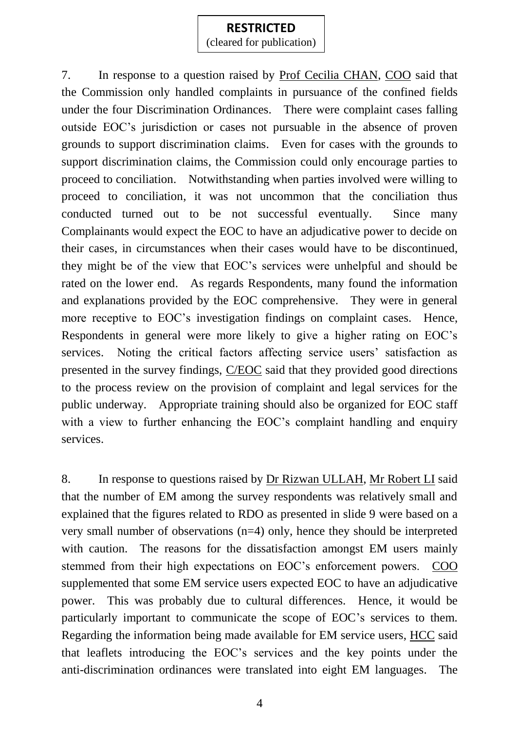(cleared for publication)

7. In response to a question raised by Prof Cecilia CHAN, COO said that the Commission only handled complaints in pursuance of the confined fields under the four Discrimination Ordinances. There were complaint cases falling outside EOC's jurisdiction or cases not pursuable in the absence of proven grounds to support discrimination claims. Even for cases with the grounds to support discrimination claims, the Commission could only encourage parties to proceed to conciliation. Notwithstanding when parties involved were willing to proceed to conciliation, it was not uncommon that the conciliation thus conducted turned out to be not successful eventually. Since many Complainants would expect the EOC to have an adjudicative power to decide on their cases, in circumstances when their cases would have to be discontinued, they might be of the view that EOC's services were unhelpful and should be rated on the lower end. As regards Respondents, many found the information and explanations provided by the EOC comprehensive. They were in general more receptive to EOC's investigation findings on complaint cases. Hence, Respondents in general were more likely to give a higher rating on EOC's services. Noting the critical factors affecting service users' satisfaction as presented in the survey findings, C/EOC said that they provided good directions to the process review on the provision of complaint and legal services for the public underway. Appropriate training should also be organized for EOC staff with a view to further enhancing the EOC's complaint handling and enquiry services.

8. In response to questions raised by Dr Rizwan ULLAH, Mr Robert LI said that the number of EM among the survey respondents was relatively small and explained that the figures related to RDO as presented in slide 9 were based on a very small number of observations (n=4) only, hence they should be interpreted with caution. The reasons for the dissatisfaction amongst EM users mainly stemmed from their high expectations on EOC's enforcement powers. COO supplemented that some EM service users expected EOC to have an adjudicative power. This was probably due to cultural differences. Hence, it would be particularly important to communicate the scope of EOC's services to them. Regarding the information being made available for EM service users, HCC said that leaflets introducing the EOC's services and the key points under the anti-discrimination ordinances were translated into eight EM languages. The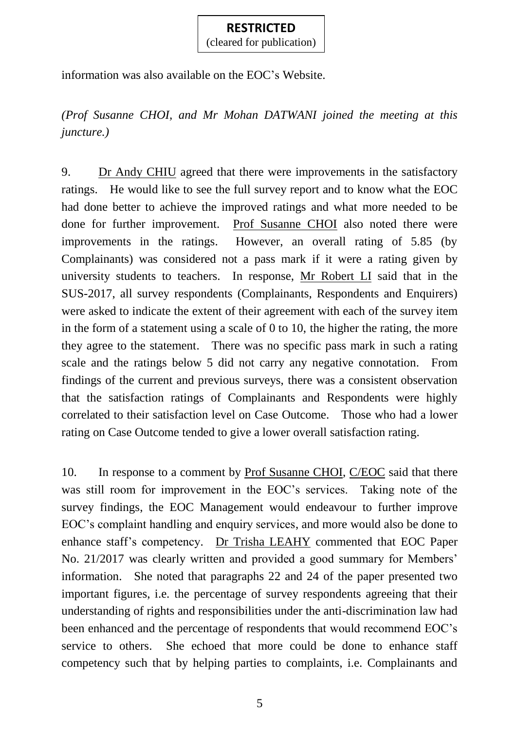(cleared for publication)

information was also available on the EOC's Website.

*(Prof Susanne CHOI, and Mr Mohan DATWANI joined the meeting at this juncture.)*

9. Dr Andy CHIU agreed that there were improvements in the satisfactory ratings. He would like to see the full survey report and to know what the EOC had done better to achieve the improved ratings and what more needed to be done for further improvement. Prof Susanne CHOI also noted there were improvements in the ratings. However, an overall rating of 5.85 (by Complainants) was considered not a pass mark if it were a rating given by university students to teachers. In response, Mr Robert LI said that in the SUS-2017, all survey respondents (Complainants, Respondents and Enquirers) were asked to indicate the extent of their agreement with each of the survey item in the form of a statement using a scale of 0 to 10, the higher the rating, the more they agree to the statement. There was no specific pass mark in such a rating scale and the ratings below 5 did not carry any negative connotation. From findings of the current and previous surveys, there was a consistent observation that the satisfaction ratings of Complainants and Respondents were highly correlated to their satisfaction level on Case Outcome. Those who had a lower rating on Case Outcome tended to give a lower overall satisfaction rating.

10. In response to a comment by Prof Susanne CHOI, C/EOC said that there was still room for improvement in the EOC's services. Taking note of the survey findings, the EOC Management would endeavour to further improve EOC's complaint handling and enquiry services, and more would also be done to enhance staff's competency. Dr Trisha LEAHY commented that EOC Paper No. 21/2017 was clearly written and provided a good summary for Members' information. She noted that paragraphs 22 and 24 of the paper presented two important figures, i.e. the percentage of survey respondents agreeing that their understanding of rights and responsibilities under the anti-discrimination law had been enhanced and the percentage of respondents that would recommend EOC's service to others. She echoed that more could be done to enhance staff competency such that by helping parties to complaints, i.e. Complainants and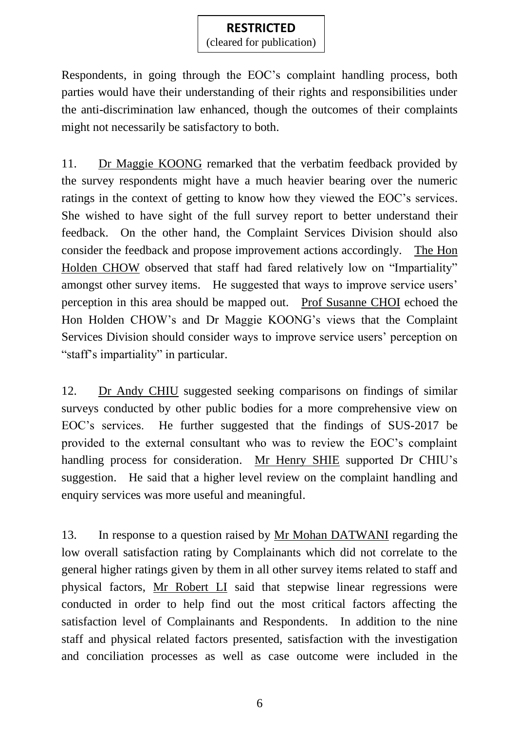(cleared for publication)

Respondents, in going through the EOC's complaint handling process, both parties would have their understanding of their rights and responsibilities under the anti-discrimination law enhanced, though the outcomes of their complaints might not necessarily be satisfactory to both.

11. Dr Maggie KOONG remarked that the verbatim feedback provided by the survey respondents might have a much heavier bearing over the numeric ratings in the context of getting to know how they viewed the EOC's services. She wished to have sight of the full survey report to better understand their feedback. On the other hand, the Complaint Services Division should also consider the feedback and propose improvement actions accordingly. The Hon Holden CHOW observed that staff had fared relatively low on "Impartiality" amongst other survey items. He suggested that ways to improve service users' perception in this area should be mapped out. Prof Susanne CHOI echoed the Hon Holden CHOW's and Dr Maggie KOONG's views that the Complaint Services Division should consider ways to improve service users' perception on "staff's impartiality" in particular.

12. Dr Andy CHIU suggested seeking comparisons on findings of similar surveys conducted by other public bodies for a more comprehensive view on EOC's services. He further suggested that the findings of SUS-2017 be provided to the external consultant who was to review the EOC's complaint handling process for consideration. Mr Henry SHIE supported Dr CHIU's suggestion. He said that a higher level review on the complaint handling and enquiry services was more useful and meaningful.

13. In response to a question raised by Mr Mohan DATWANI regarding the low overall satisfaction rating by Complainants which did not correlate to the general higher ratings given by them in all other survey items related to staff and physical factors, Mr Robert LI said that stepwise linear regressions were conducted in order to help find out the most critical factors affecting the satisfaction level of Complainants and Respondents. In addition to the nine staff and physical related factors presented, satisfaction with the investigation and conciliation processes as well as case outcome were included in the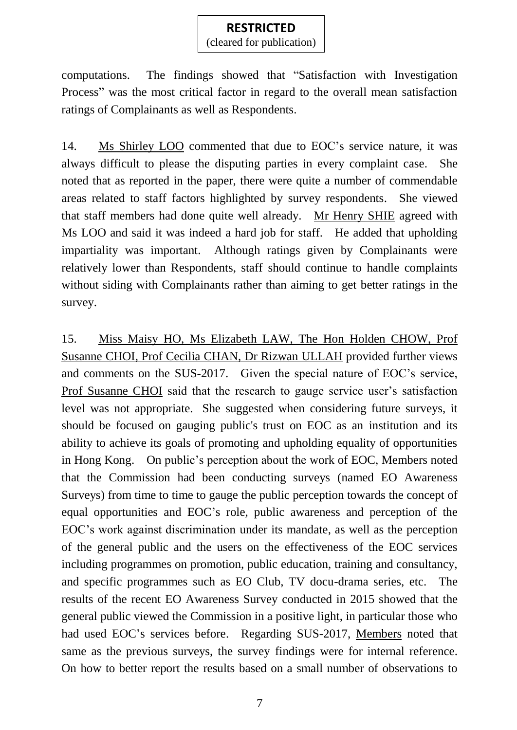(cleared for publication)

computations. The findings showed that "Satisfaction with Investigation Process" was the most critical factor in regard to the overall mean satisfaction ratings of Complainants as well as Respondents.

14. Ms Shirley LOO commented that due to EOC's service nature, it was always difficult to please the disputing parties in every complaint case. She noted that as reported in the paper, there were quite a number of commendable areas related to staff factors highlighted by survey respondents. She viewed that staff members had done quite well already. Mr Henry SHIE agreed with Ms LOO and said it was indeed a hard job for staff. He added that upholding impartiality was important. Although ratings given by Complainants were relatively lower than Respondents, staff should continue to handle complaints without siding with Complainants rather than aiming to get better ratings in the survey.

15. Miss Maisy HO, Ms Elizabeth LAW, The Hon Holden CHOW, Prof Susanne CHOI, Prof Cecilia CHAN, Dr Rizwan ULLAH provided further views and comments on the SUS-2017. Given the special nature of EOC's service, Prof Susanne CHOI said that the research to gauge service user's satisfaction level was not appropriate. She suggested when considering future surveys, it should be focused on gauging public's trust on EOC as an institution and its ability to achieve its goals of promoting and upholding equality of opportunities in Hong Kong.On public's perception about the work of EOC, Members noted that the Commission had been conducting surveys (named EO Awareness Surveys) from time to time to gauge the public perception towards the concept of equal opportunities and EOC's role, public awareness and perception of the EOC's work against discrimination under its mandate, as well as the perception of the general public and the users on the effectiveness of the EOC services including programmes on promotion, public education, training and consultancy, and specific programmes such as EO Club, TV docu-drama series, etc. The results of the recent EO Awareness Survey conducted in 2015 showed that the general public viewed the Commission in a positive light, in particular those who had used EOC's services before. Regarding SUS-2017, Members noted that same as the previous surveys, the survey findings were for internal reference. On how to better report the results based on a small number of observations to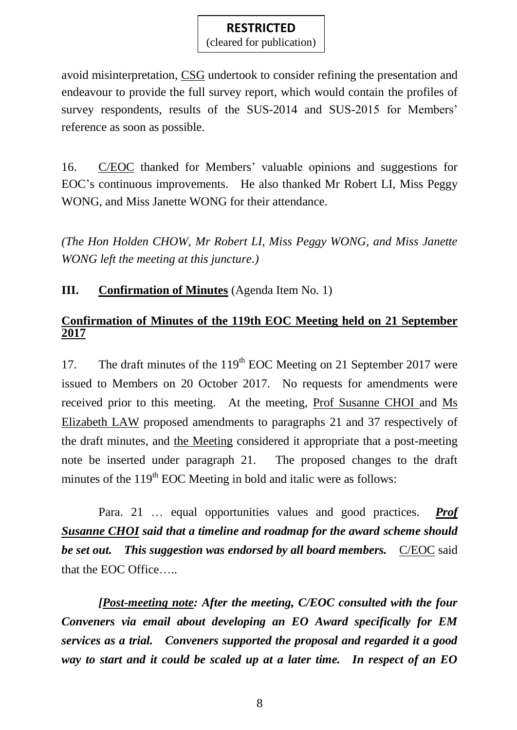(cleared for publication)

avoid misinterpretation, CSG undertook to consider refining the presentation and endeavour to provide the full survey report, which would contain the profiles of survey respondents, results of the SUS-2014 and SUS-2015 for Members' reference as soon as possible.

16. C/EOC thanked for Members' valuable opinions and suggestions for EOC's continuous improvements. He also thanked Mr Robert LI, Miss Peggy WONG, and Miss Janette WONG for their attendance.

*(The Hon Holden CHOW, Mr Robert LI, Miss Peggy WONG, and Miss Janette WONG left the meeting at this juncture.)*

**III. Confirmation of Minutes** (Agenda Item No. 1)

### **Confirmation of Minutes of the 119th EOC Meeting held on 21 September 2017**

17. The draft minutes of the  $119<sup>th</sup>$  EOC Meeting on 21 September 2017 were issued to Members on 20 October 2017. No requests for amendments were received prior to this meeting. At the meeting, Prof Susanne CHOI and Ms Elizabeth LAW proposed amendments to paragraphs 21 and 37 respectively of the draft minutes, and the Meeting considered it appropriate that a post-meeting note be inserted under paragraph 21. The proposed changes to the draft minutes of the  $119<sup>th</sup>$  EOC Meeting in bold and italic were as follows:

Para. 21 … equal opportunities values and good practices. *Prof Susanne CHOI said that a timeline and roadmap for the award scheme should be set out. This suggestion was endorsed by all board members.* C/EOC said that the EOC Office…..

*[Post-meeting note: After the meeting, C/EOC consulted with the four Conveners via email about developing an EO Award specifically for EM services as a trial. Conveners supported the proposal and regarded it a good way to start and it could be scaled up at a later time. In respect of an EO*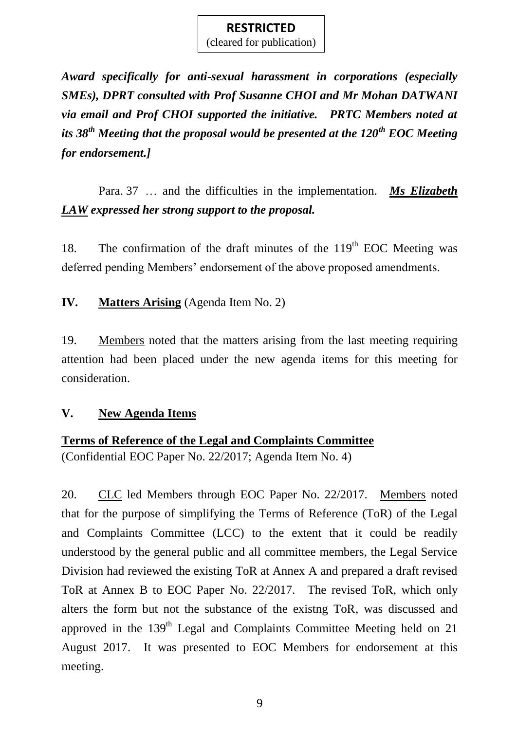(cleared for publication)

*Award specifically for anti-sexual harassment in corporations (especially SMEs), DPRT consulted with Prof Susanne CHOI and Mr Mohan DATWANI via email and Prof CHOI supported the initiative. PRTC Members noted at its 38th Meeting that the proposal would be presented at the 120th EOC Meeting for endorsement.]*

Para. 37 … and the difficulties in the implementation. *Ms Elizabeth LAW expressed her strong support to the proposal.*

18. The confirmation of the draft minutes of the  $119<sup>th</sup>$  EOC Meeting was deferred pending Members' endorsement of the above proposed amendments.

**IV. Matters Arising** (Agenda Item No. 2)

19. Members noted that the matters arising from the last meeting requiring attention had been placed under the new agenda items for this meeting for consideration.

## **V. New Agenda Items**

## **Terms of Reference of the Legal and Complaints Committee**

(Confidential EOC Paper No. 22/2017; Agenda Item No. 4)

20. CLC led Members through EOC Paper No. 22/2017. Members noted that for the purpose of simplifying the Terms of Reference (ToR) of the Legal and Complaints Committee (LCC) to the extent that it could be readily understood by the general public and all committee members, the Legal Service Division had reviewed the existing ToR at Annex A and prepared a draft revised ToR at Annex B to EOC Paper No. 22/2017. The revised ToR, which only alters the form but not the substance of the existng ToR, was discussed and approved in the 139<sup>th</sup> Legal and Complaints Committee Meeting held on 21 August 2017. It was presented to EOC Members for endorsement at this meeting.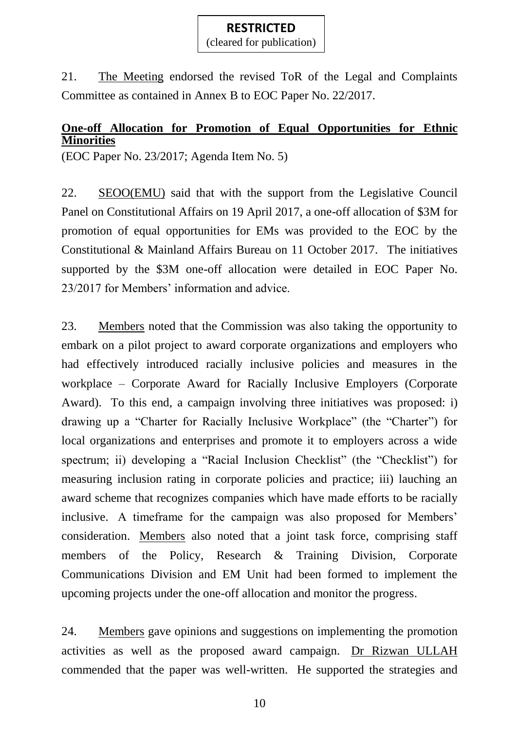(cleared for publication)

21. The Meeting endorsed the revised ToR of the Legal and Complaints Committee as contained in Annex B to EOC Paper No. 22/2017.

### **One-off Allocation for Promotion of Equal Opportunities for Ethnic Minorities**

(EOC Paper No. 23/2017; Agenda Item No. 5)

22. SEOO(EMU) said that with the support from the Legislative Council Panel on Constitutional Affairs on 19 April 2017, a one-off allocation of \$3M for promotion of equal opportunities for EMs was provided to the EOC by the Constitutional & Mainland Affairs Bureau on 11 October 2017. The initiatives supported by the \$3M one-off allocation were detailed in EOC Paper No. 23/2017 for Members' information and advice.

23. Members noted that the Commission was also taking the opportunity to embark on a pilot project to award corporate organizations and employers who had effectively introduced racially inclusive policies and measures in the workplace – Corporate Award for Racially Inclusive Employers (Corporate Award). To this end, a campaign involving three initiatives was proposed: i) drawing up a "Charter for Racially Inclusive Workplace" (the "Charter") for local organizations and enterprises and promote it to employers across a wide spectrum; ii) developing a "Racial Inclusion Checklist" (the "Checklist") for measuring inclusion rating in corporate policies and practice; iii) lauching an award scheme that recognizes companies which have made efforts to be racially inclusive. A timeframe for the campaign was also proposed for Members' consideration. Members also noted that a joint task force, comprising staff members of the Policy, Research & Training Division, Corporate Communications Division and EM Unit had been formed to implement the upcoming projects under the one-off allocation and monitor the progress.

24. Members gave opinions and suggestions on implementing the promotion activities as well as the proposed award campaign. Dr Rizwan ULLAH commended that the paper was well-written. He supported the strategies and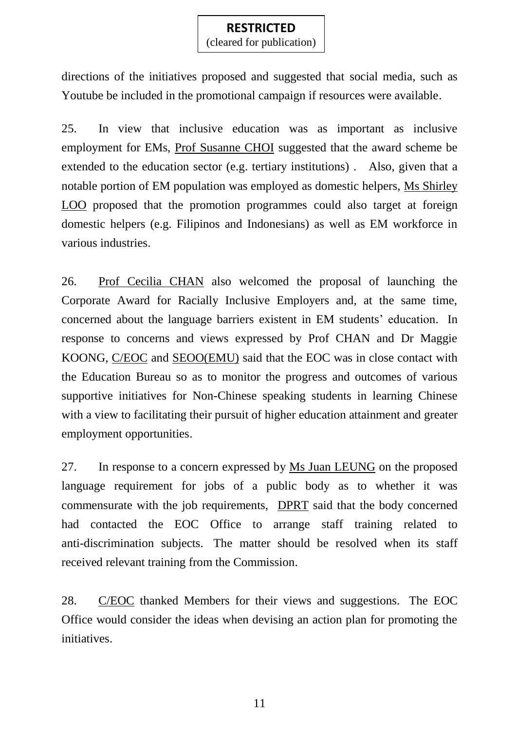(cleared for publication)

directions of the initiatives proposed and suggested that social media, such as Youtube be included in the promotional campaign if resources were available.

25. In view that inclusive education was as important as inclusive employment for EMs, Prof Susanne CHOI suggested that the award scheme be extended to the education sector (e.g. tertiary institutions) . Also, given that a notable portion of EM population was employed as domestic helpers, Ms Shirley LOO proposed that the promotion programmes could also target at foreign domestic helpers (e.g. Filipinos and Indonesians) as well as EM workforce in various industries.

26. Prof Cecilia CHAN also welcomed the proposal of launching the Corporate Award for Racially Inclusive Employers and, at the same time, concerned about the language barriers existent in EM students' education. In response to concerns and views expressed by Prof CHAN and Dr Maggie KOONG, C/EOC and SEOO(EMU) said that the EOC was in close contact with the Education Bureau so as to monitor the progress and outcomes of various supportive initiatives for Non-Chinese speaking students in learning Chinese with a view to facilitating their pursuit of higher education attainment and greater employment opportunities.

27. In response to a concern expressed by Ms Juan LEUNG on the proposed language requirement for jobs of a public body as to whether it was commensurate with the job requirements, DPRT said that the body concerned had contacted the EOC Office to arrange staff training related to anti-discrimination subjects. The matter should be resolved when its staff received relevant training from the Commission.

28. C/EOC thanked Members for their views and suggestions. The EOC Office would consider the ideas when devising an action plan for promoting the initiatives.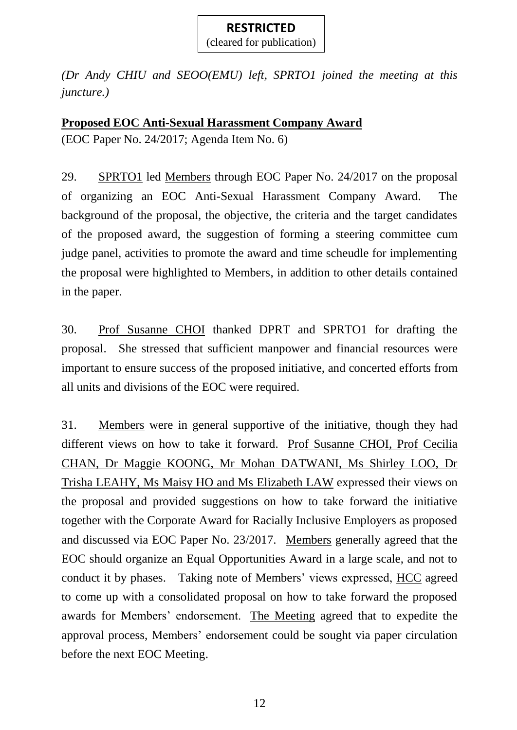(cleared for publication)

*(Dr Andy CHIU and SEOO(EMU) left, SPRTO1 joined the meeting at this juncture.)*

### **Proposed EOC Anti-Sexual Harassment Company Award**

(EOC Paper No. 24/2017; Agenda Item No. 6)

29. SPRTO1 led Members through EOC Paper No. 24/2017 on the proposal of organizing an EOC Anti-Sexual Harassment Company Award. The background of the proposal, the objective, the criteria and the target candidates of the proposed award, the suggestion of forming a steering committee cum judge panel, activities to promote the award and time scheudle for implementing the proposal were highlighted to Members, in addition to other details contained in the paper.

30. Prof Susanne CHOI thanked DPRT and SPRTO1 for drafting the proposal. She stressed that sufficient manpower and financial resources were important to ensure success of the proposed initiative, and concerted efforts from all units and divisions of the EOC were required.

31. Members were in general supportive of the initiative, though they had different views on how to take it forward. Prof Susanne CHOI, Prof Cecilia CHAN, Dr Maggie KOONG, Mr Mohan DATWANI, Ms Shirley LOO, Dr Trisha LEAHY, Ms Maisy HO and Ms Elizabeth LAW expressed their views on the proposal and provided suggestions on how to take forward the initiative together with the Corporate Award for Racially Inclusive Employers as proposed and discussed via EOC Paper No. 23/2017. Members generally agreed that the EOC should organize an Equal Opportunities Award in a large scale, and not to conduct it by phases.Taking note of Members' views expressed, HCC agreed to come up with a consolidated proposal on how to take forward the proposed awards for Members' endorsement. The Meeting agreed that to expedite the approval process, Members' endorsement could be sought via paper circulation before the next EOC Meeting.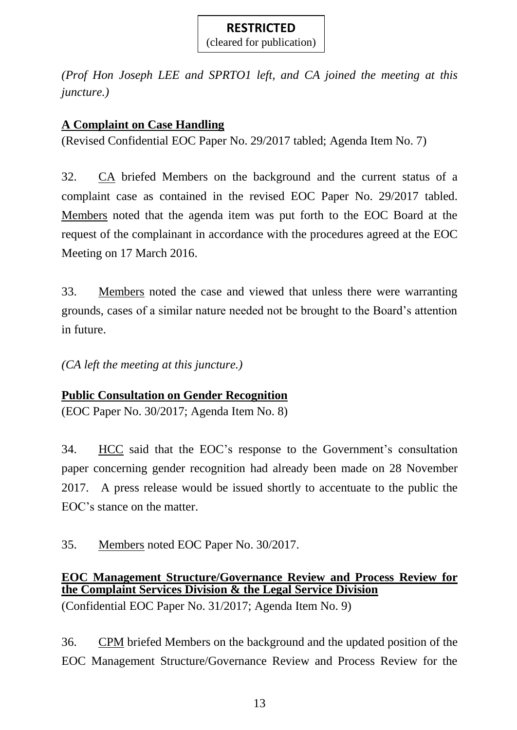(cleared for publication)

*(Prof Hon Joseph LEE and SPRTO1 left, and CA joined the meeting at this juncture.)*

# **A Complaint on Case Handling**

(Revised Confidential EOC Paper No. 29/2017 tabled; Agenda Item No. 7)

32. CA briefed Members on the background and the current status of a complaint case as contained in the revised EOC Paper No. 29/2017 tabled. Members noted that the agenda item was put forth to the EOC Board at the request of the complainant in accordance with the procedures agreed at the EOC Meeting on 17 March 2016.

33. Members noted the case and viewed that unless there were warranting grounds, cases of a similar nature needed not be brought to the Board's attention in future.

*(CA left the meeting at this juncture.)*

## **Public Consultation on Gender Recognition**

(EOC Paper No. 30/2017; Agenda Item No. 8)

34. HCC said that the EOC's response to the Government's consultation paper concerning gender recognition had already been made on 28 November 2017. A press release would be issued shortly to accentuate to the public the EOC's stance on the matter.

35. Members noted EOC Paper No. 30/2017.

### **EOC Management Structure/Governance Review and Process Review for the Complaint Services Division & the Legal Service Division** (Confidential EOC Paper No. 31/2017; Agenda Item No. 9)

36. CPM briefed Members on the background and the updated position of the EOC Management Structure/Governance Review and Process Review for the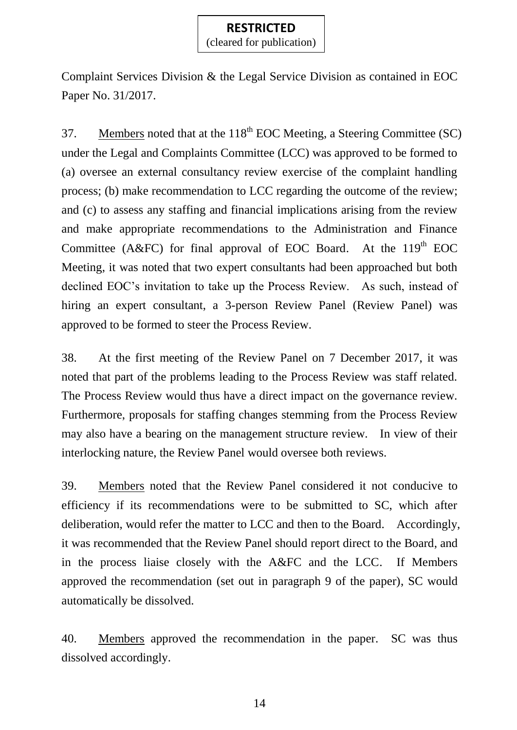(cleared for publication)

Complaint Services Division & the Legal Service Division as contained in EOC Paper No. 31/2017.

37. Members noted that at the  $118<sup>th</sup>$  EOC Meeting, a Steering Committee (SC) under the Legal and Complaints Committee (LCC) was approved to be formed to (a) oversee an external consultancy review exercise of the complaint handling process; (b) make recommendation to LCC regarding the outcome of the review; and (c) to assess any staffing and financial implications arising from the review and make appropriate recommendations to the Administration and Finance Committee (A&FC) for final approval of EOC Board. At the  $119<sup>th</sup>$  EOC Meeting, it was noted that two expert consultants had been approached but both declined EOC's invitation to take up the Process Review. As such, instead of hiring an expert consultant, a 3-person Review Panel (Review Panel) was approved to be formed to steer the Process Review.

38. At the first meeting of the Review Panel on 7 December 2017, it was noted that part of the problems leading to the Process Review was staff related. The Process Review would thus have a direct impact on the governance review. Furthermore, proposals for staffing changes stemming from the Process Review may also have a bearing on the management structure review. In view of their interlocking nature, the Review Panel would oversee both reviews.

39. Members noted that the Review Panel considered it not conducive to efficiency if its recommendations were to be submitted to SC, which after deliberation, would refer the matter to LCC and then to the Board. Accordingly, it was recommended that the Review Panel should report direct to the Board, and in the process liaise closely with the A&FC and the LCC. If Members approved the recommendation (set out in paragraph 9 of the paper), SC would automatically be dissolved.

40. Members approved the recommendation in the paper. SC was thus dissolved accordingly.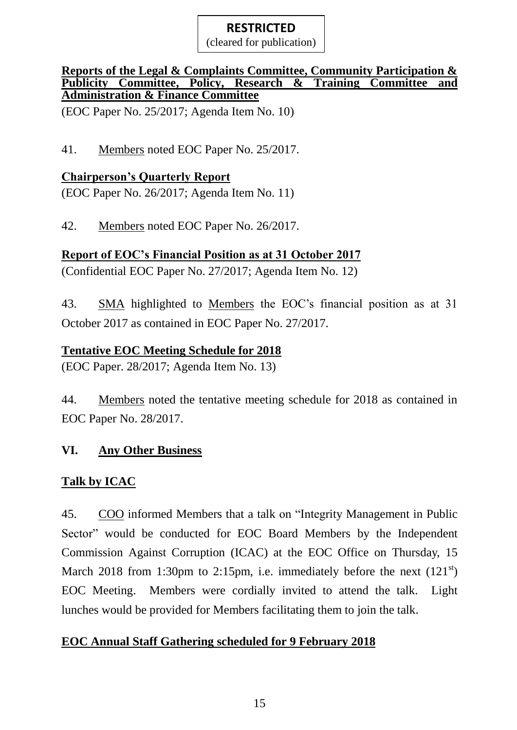(cleared for publication)

#### **Reports of the Legal & Complaints Committee, Community Participation & Publicity Committee, Policy, Research & Training Committee and Administration & Finance Committee**

(EOC Paper No. 25/2017; Agenda Item No. 10)

41. Members noted EOC Paper No. 25/2017.

# **Chairperson's Quarterly Report**

(EOC Paper No. 26/2017; Agenda Item No. 11)

42. Members noted EOC Paper No. 26/2017.

# **Report of EOC's Financial Position as at 31 October 2017**

(Confidential EOC Paper No. 27/2017; Agenda Item No. 12)

43. SMA highlighted to Members the EOC's financial position as at 31 October 2017 as contained in EOC Paper No. 27/2017.

# **Tentative EOC Meeting Schedule for 2018**

(EOC Paper. 28/2017; Agenda Item No. 13)

44. Members noted the tentative meeting schedule for 2018 as contained in EOC Paper No. 28/2017.

# **VI. Any Other Business**

# **Talk by ICAC**

45. COO informed Members that a talk on "Integrity Management in Public Sector" would be conducted for EOC Board Members by the Independent Commission Against Corruption (ICAC) at the EOC Office on Thursday, 15 March 2018 from 1:30pm to 2:15pm, i.e. immediately before the next  $(121<sup>st</sup>)$ EOC Meeting. Members were cordially invited to attend the talk. Light lunches would be provided for Members facilitating them to join the talk.

# **EOC Annual Staff Gathering scheduled for 9 February 2018**